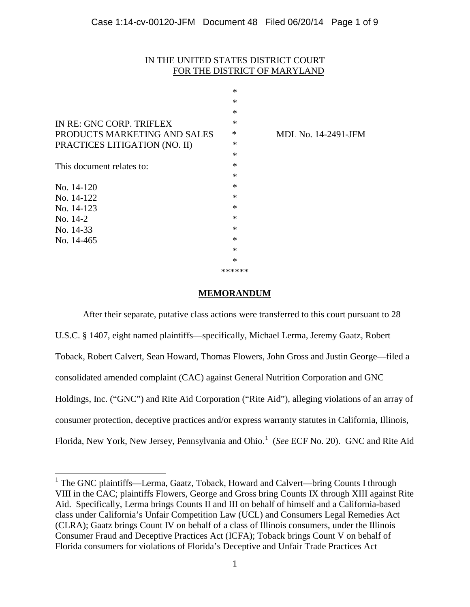# IN THE UNITED STATES DISTRICT COURT FOR THE DISTRICT OF MARYLAND

|                               | $\ast$ |                     |
|-------------------------------|--------|---------------------|
|                               | $\ast$ |                     |
|                               | $\ast$ |                     |
| IN RE: GNC CORP. TRIFLEX      | $\ast$ |                     |
| PRODUCTS MARKETING AND SALES  | $\ast$ | MDL No. 14-2491-JFM |
| PRACTICES LITIGATION (NO. II) | ∗      |                     |
|                               | $\ast$ |                     |
| This document relates to:     | $\ast$ |                     |
|                               | $\ast$ |                     |
| No. 14-120                    | $\ast$ |                     |
| No. 14-122                    | $\ast$ |                     |
| No. 14-123                    | $\ast$ |                     |
| No. 14-2                      | $\ast$ |                     |
| No. 14-33                     | $\ast$ |                     |
| No. 14-465                    | $\ast$ |                     |
|                               | $\ast$ |                     |
|                               | $\ast$ |                     |
|                               | ****** |                     |

## **MEMORANDUM**

After their separate, putative class actions were transferred to this court pursuant to 28 U.S.C. § 1407, eight named plaintiffs—specifically, Michael Lerma, Jeremy Gaatz, Robert Toback, Robert Calvert, Sean Howard, Thomas Flowers, John Gross and Justin George—filed a consolidated amended complaint (CAC) against General Nutrition Corporation and GNC Holdings, Inc. ("GNC") and Rite Aid Corporation ("Rite Aid"), alleging violations of an array of consumer protection, deceptive practices and/or express warranty statutes in California, Illinois, Florida, New York, New Jersey, Pennsylvania and Ohio.<sup>[1](#page-3-0)</sup> (See ECF No. 20). GNC and Rite Aid

<span id="page-0-0"></span><sup>&</sup>lt;sup>1</sup> The GNC plaintiffs—Lerma, Gaatz, Toback, Howard and Calvert—bring Counts I through VIII in the CAC; plaintiffs Flowers, George and Gross bring Counts IX through XIII against Rite Aid. Specifically, Lerma brings Counts II and III on behalf of himself and a California-based class under California's Unfair Competition Law (UCL) and Consumers Legal Remedies Act (CLRA); Gaatz brings Count IV on behalf of a class of Illinois consumers, under the Illinois Consumer Fraud and Deceptive Practices Act (ICFA); Toback brings Count V on behalf of Florida consumers for violations of Florida's Deceptive and Unfair Trade Practices Act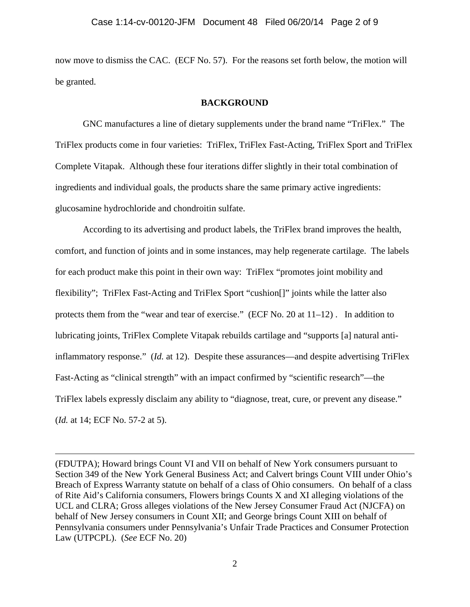now move to dismiss the CAC. (ECF No. 57). For the reasons set forth below, the motion will be granted.

### **BACKGROUND**

GNC manufactures a line of dietary supplements under the brand name "TriFlex." The TriFlex products come in four varieties: TriFlex, TriFlex Fast-Acting, TriFlex Sport and TriFlex Complete Vitapak. Although these four iterations differ slightly in their total combination of ingredients and individual goals, the products share the same primary active ingredients: glucosamine hydrochloride and chondroitin sulfate.

According to its advertising and product labels, the TriFlex brand improves the health, comfort, and function of joints and in some instances, may help regenerate cartilage. The labels for each product make this point in their own way: TriFlex "promotes joint mobility and flexibility"; TriFlex Fast-Acting and TriFlex Sport "cushion[]" joints while the latter also protects them from the "wear and tear of exercise." (ECF No. 20 at 11–12) . In addition to lubricating joints, TriFlex Complete Vitapak rebuilds cartilage and "supports [a] natural antiinflammatory response." (*Id.* at 12). Despite these assurances—and despite advertising TriFlex Fast-Acting as "clinical strength" with an impact confirmed by "scientific research"—the TriFlex labels expressly disclaim any ability to "diagnose, treat, cure, or prevent any disease." (*Id.* at 14; ECF No. 57-2 at 5).

(FDUTPA); Howard brings Count VI and VII on behalf of New York consumers pursuant to Section 349 of the New York General Business Act; and Calvert brings Count VIII under Ohio's Breach of Express Warranty statute on behalf of a class of Ohio consumers. On behalf of a class of Rite Aid's California consumers, Flowers brings Counts X and XI alleging violations of the UCL and CLRA; Gross alleges violations of the New Jersey Consumer Fraud Act (NJCFA) on behalf of New Jersey consumers in Count XII; and George brings Count XIII on behalf of Pennsylvania consumers under Pennsylvania's Unfair Trade Practices and Consumer Protection Law (UTPCPL). (*See* ECF No. 20)

 $\overline{a}$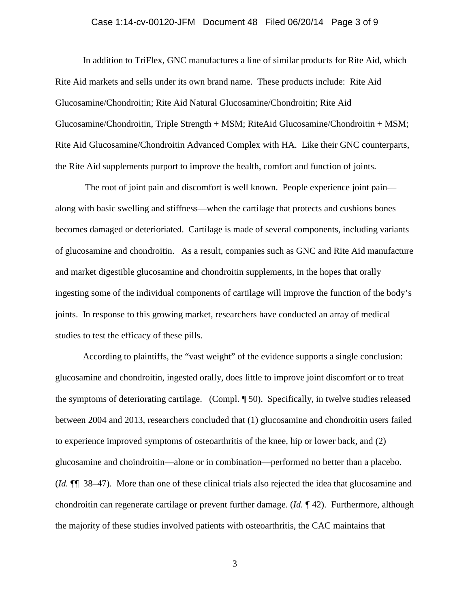## Case 1:14-cv-00120-JFM Document 48 Filed 06/20/14 Page 3 of 9

In addition to TriFlex, GNC manufactures a line of similar products for Rite Aid, which Rite Aid markets and sells under its own brand name. These products include: Rite Aid Glucosamine/Chondroitin; Rite Aid Natural Glucosamine/Chondroitin; Rite Aid Glucosamine/Chondroitin, Triple Strength + MSM; RiteAid Glucosamine/Chondroitin + MSM; Rite Aid Glucosamine/Chondroitin Advanced Complex with HA. Like their GNC counterparts, the Rite Aid supplements purport to improve the health, comfort and function of joints.

The root of joint pain and discomfort is well known. People experience joint pain along with basic swelling and stiffness—when the cartilage that protects and cushions bones becomes damaged or deterioriated. Cartilage is made of several components, including variants of glucosamine and chondroitin. As a result, companies such as GNC and Rite Aid manufacture and market digestible glucosamine and chondroitin supplements, in the hopes that orally ingesting some of the individual components of cartilage will improve the function of the body's joints. In response to this growing market, researchers have conducted an array of medical studies to test the efficacy of these pills.

According to plaintiffs, the "vast weight" of the evidence supports a single conclusion: glucosamine and chondroitin, ingested orally, does little to improve joint discomfort or to treat the symptoms of deteriorating cartilage. (Compl. ¶ 50). Specifically, in twelve studies released between 2004 and 2013, researchers concluded that (1) glucosamine and chondroitin users failed to experience improved symptoms of osteoarthritis of the knee, hip or lower back, and (2) glucosamine and choindroitin—alone or in combination—performed no better than a placebo. (*Id.* ¶¶ 38–47). More than one of these clinical trials also rejected the idea that glucosamine and chondroitin can regenerate cartilage or prevent further damage. (*Id.* ¶ 42). Furthermore, although the majority of these studies involved patients with osteoarthritis, the CAC maintains that

3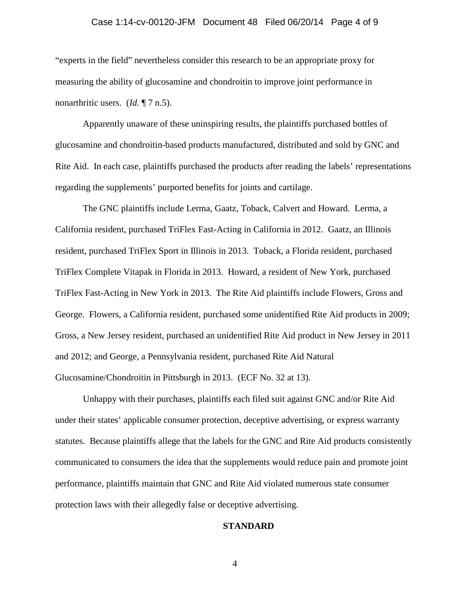## Case 1:14-cv-00120-JFM Document 48 Filed 06/20/14 Page 4 of 9

"experts in the field" nevertheless consider this research to be an appropriate proxy for measuring the ability of glucosamine and chondroitin to improve joint performance in nonarthritic users. (*Id.* ¶ 7 n.5).

Apparently unaware of these uninspiring results, the plaintiffs purchased bottles of glucosamine and chondroitin-based products manufactured, distributed and sold by GNC and Rite Aid. In each case, plaintiffs purchased the products after reading the labels' representations regarding the supplements' purported benefits for joints and cartilage.

The GNC plaintiffs include Lerma, Gaatz, Toback, Calvert and Howard. Lerma, a California resident, purchased TriFlex Fast-Acting in California in 2012. Gaatz, an Illinois resident, purchased TriFlex Sport in Illinois in 2013. Toback, a Florida resident, purchased TriFlex Complete Vitapak in Florida in 2013. Howard, a resident of New York, purchased TriFlex Fast-Acting in New York in 2013. The Rite Aid plaintiffs include Flowers, Gross and George. Flowers, a California resident, purchased some unidentified Rite Aid products in 2009; Gross, a New Jersey resident, purchased an unidentified Rite Aid product in New Jersey in 2011 and 2012; and George, a Pennsylvania resident, purchased Rite Aid Natural Glucosamine/Chondroitin in Pittsburgh in 2013. (ECF No. 32 at 13).

<span id="page-3-0"></span>Unhappy with their purchases, plaintiffs each filed suit against GNC and/or Rite Aid under their states' applicable consumer protection, deceptive advertising, or express warranty statutes. Because plaintiffs allege that the labels for the GNC and Rite Aid products consistently communicated to consumers the idea that the supplements would reduce pain and promote joint performance, plaintiffs maintain that GNC and Rite Aid violated numerous state consumer protection laws with their allegedly false or deceptive advertising.

#### **STANDARD**

4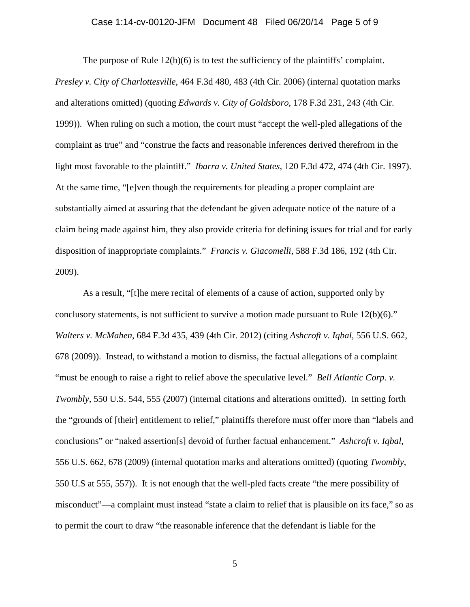#### Case 1:14-cv-00120-JFM Document 48 Filed 06/20/14 Page 5 of 9

The purpose of Rule  $12(b)(6)$  is to test the sufficiency of the plaintiffs' complaint. *Presley v. City of Charlottesville*, 464 F.3d 480, 483 (4th Cir. 2006) (internal quotation marks and alterations omitted) (quoting *Edwards v. City of Goldsboro*, 178 F.3d 231, 243 (4th Cir. 1999)). When ruling on such a motion, the court must "accept the well-pled allegations of the complaint as true" and "construe the facts and reasonable inferences derived therefrom in the light most favorable to the plaintiff." *Ibarra v. United States*, 120 F.3d 472, 474 (4th Cir. 1997). At the same time, "[e]ven though the requirements for pleading a proper complaint are substantially aimed at assuring that the defendant be given adequate notice of the nature of a claim being made against him, they also provide criteria for defining issues for trial and for early disposition of inappropriate complaints." *Francis v. Giacomelli*, 588 F.3d 186, 192 (4th Cir. 2009).

As a result, "[t]he mere recital of elements of a cause of action, supported only by conclusory statements, is not sufficient to survive a motion made pursuant to Rule 12(b)(6)." *Walters v. McMahen*, 684 F.3d 435, 439 (4th Cir. 2012) (citing *Ashcroft v. Iqbal*, 556 U.S. 662, 678 (2009)). Instead, to withstand a motion to dismiss, the factual allegations of a complaint "must be enough to raise a right to relief above the speculative level." *Bell Atlantic Corp. v. Twombly*, 550 U.S. 544, 555 (2007) (internal citations and alterations omitted). In setting forth the "grounds of [their] entitlement to relief," plaintiffs therefore must offer more than "labels and conclusions" or "naked assertion[s] devoid of further factual enhancement." *Ashcroft v. Iqbal*, 556 U.S. 662, 678 (2009) (internal quotation marks and alterations omitted) (quoting *Twombly*, 550 U.S at 555, 557)). It is not enough that the well-pled facts create "the mere possibility of misconduct"—a complaint must instead "state a claim to relief that is plausible on its face," so as to permit the court to draw "the reasonable inference that the defendant is liable for the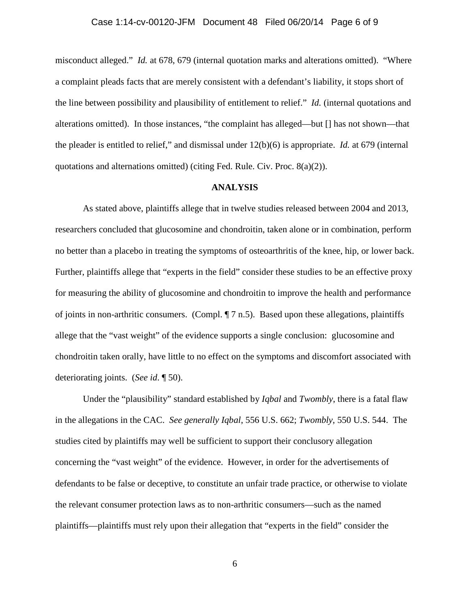### Case 1:14-cv-00120-JFM Document 48 Filed 06/20/14 Page 6 of 9

misconduct alleged." *Id.* at 678, 679 (internal quotation marks and alterations omitted). "Where a complaint pleads facts that are merely consistent with a defendant's liability, it stops short of the line between possibility and plausibility of entitlement to relief." *Id.* (internal quotations and alterations omitted). In those instances, "the complaint has alleged—but [] has not shown—that the pleader is entitled to relief," and dismissal under 12(b)(6) is appropriate. *Id.* at 679 (internal quotations and alternations omitted) (citing Fed. Rule. Civ. Proc. 8(a)(2)).

#### **ANALYSIS**

As stated above, plaintiffs allege that in twelve studies released between 2004 and 2013, researchers concluded that glucosomine and chondroitin, taken alone or in combination, perform no better than a placebo in treating the symptoms of osteoarthritis of the knee, hip, or lower back. Further, plaintiffs allege that "experts in the field" consider these studies to be an effective proxy for measuring the ability of glucosomine and chondroitin to improve the health and performance of joints in non-arthritic consumers. (Compl. ¶ 7 n.5). Based upon these allegations, plaintiffs allege that the "vast weight" of the evidence supports a single conclusion: glucosomine and chondroitin taken orally, have little to no effect on the symptoms and discomfort associated with deteriorating joints. (*See id*. ¶ 50).

Under the "plausibility" standard established by *Iqbal* and *Twombly*, there is a fatal flaw in the allegations in the CAC. *See generally Iqbal*, 556 U.S. 662; *Twombly*, 550 U.S. 544. The studies cited by plaintiffs may well be sufficient to support their conclusory allegation concerning the "vast weight" of the evidence. However, in order for the advertisements of defendants to be false or deceptive, to constitute an unfair trade practice, or otherwise to violate the relevant consumer protection laws as to non-arthritic consumers—such as the named plaintiffs—plaintiffs must rely upon their allegation that "experts in the field" consider the

6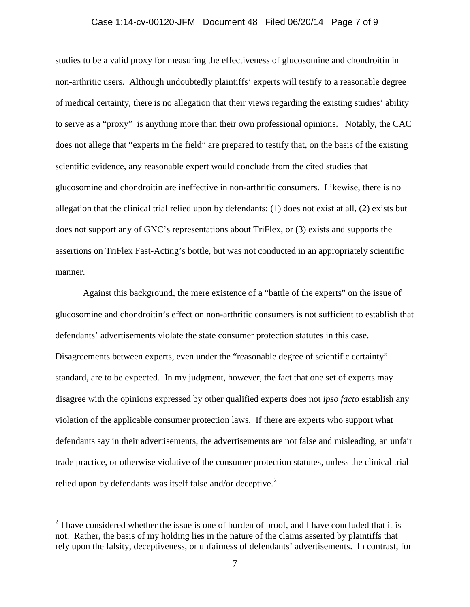## Case 1:14-cv-00120-JFM Document 48 Filed 06/20/14 Page 7 of 9

studies to be a valid proxy for measuring the effectiveness of glucosomine and chondroitin in non-arthritic users. Although undoubtedly plaintiffs' experts will testify to a reasonable degree of medical certainty, there is no allegation that their views regarding the existing studies' ability to serve as a "proxy" is anything more than their own professional opinions. Notably, the CAC does not allege that "experts in the field" are prepared to testify that, on the basis of the existing scientific evidence, any reasonable expert would conclude from the cited studies that glucosomine and chondroitin are ineffective in non-arthritic consumers. Likewise, there is no allegation that the clinical trial relied upon by defendants: (1) does not exist at all, (2) exists but does not support any of GNC's representations about TriFlex, or (3) exists and supports the assertions on TriFlex Fast-Acting's bottle, but was not conducted in an appropriately scientific manner.

Against this background, the mere existence of a "battle of the experts" on the issue of glucosomine and chondroitin's effect on non-arthritic consumers is not sufficient to establish that defendants' advertisements violate the state consumer protection statutes in this case. Disagreements between experts, even under the "reasonable degree of scientific certainty" standard, are to be expected. In my judgment, however, the fact that one set of experts may disagree with the opinions expressed by other qualified experts does not *ipso facto* establish any violation of the applicable consumer protection laws. If there are experts who support what defendants say in their advertisements, the advertisements are not false and misleading, an unfair trade practice, or otherwise violative of the consumer protection statutes, unless the clinical trial relied upon by defendants was itself false and/or deceptive.<sup>[2](#page-0-0)</sup>

<span id="page-6-0"></span> $2$  I have considered whether the issue is one of burden of proof, and I have concluded that it is not. Rather, the basis of my holding lies in the nature of the claims asserted by plaintiffs that rely upon the falsity, deceptiveness, or unfairness of defendants' advertisements. In contrast, for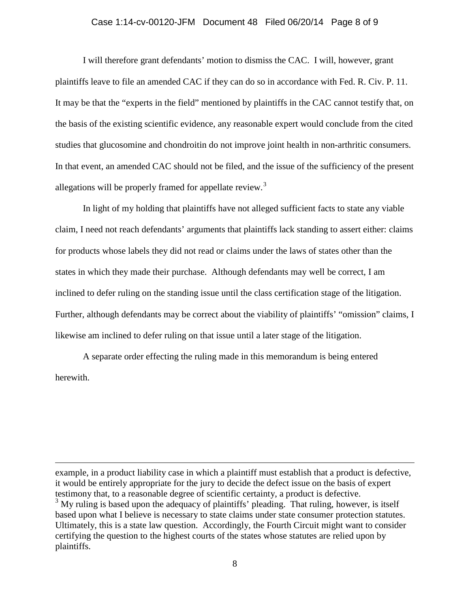#### Case 1:14-cv-00120-JFM Document 48 Filed 06/20/14 Page 8 of 9

I will therefore grant defendants' motion to dismiss the CAC. I will, however, grant plaintiffs leave to file an amended CAC if they can do so in accordance with Fed. R. Civ. P. 11. It may be that the "experts in the field" mentioned by plaintiffs in the CAC cannot testify that, on the basis of the existing scientific evidence, any reasonable expert would conclude from the cited studies that glucosomine and chondroitin do not improve joint health in non-arthritic consumers. In that event, an amended CAC should not be filed, and the issue of the sufficiency of the present allegations will be properly framed for appellate review.<sup>[3](#page-6-0)</sup>

In light of my holding that plaintiffs have not alleged sufficient facts to state any viable claim, I need not reach defendants' arguments that plaintiffs lack standing to assert either: claims for products whose labels they did not read or claims under the laws of states other than the states in which they made their purchase. Although defendants may well be correct, I am inclined to defer ruling on the standing issue until the class certification stage of the litigation. Further, although defendants may be correct about the viability of plaintiffs' "omission" claims, I likewise am inclined to defer ruling on that issue until a later stage of the litigation.

A separate order effecting the ruling made in this memorandum is being entered herewith.

 $\overline{a}$ 

example, in a product liability case in which a plaintiff must establish that a product is defective, it would be entirely appropriate for the jury to decide the defect issue on the basis of expert testimony that, to a reasonable degree of scientific certainty, a product is defective.  $3$  My ruling is based upon the adequacy of plaintiffs' pleading. That ruling, however, is itself based upon what I believe is necessary to state claims under state consumer protection statutes. Ultimately, this is a state law question. Accordingly, the Fourth Circuit might want to consider certifying the question to the highest courts of the states whose statutes are relied upon by plaintiffs.